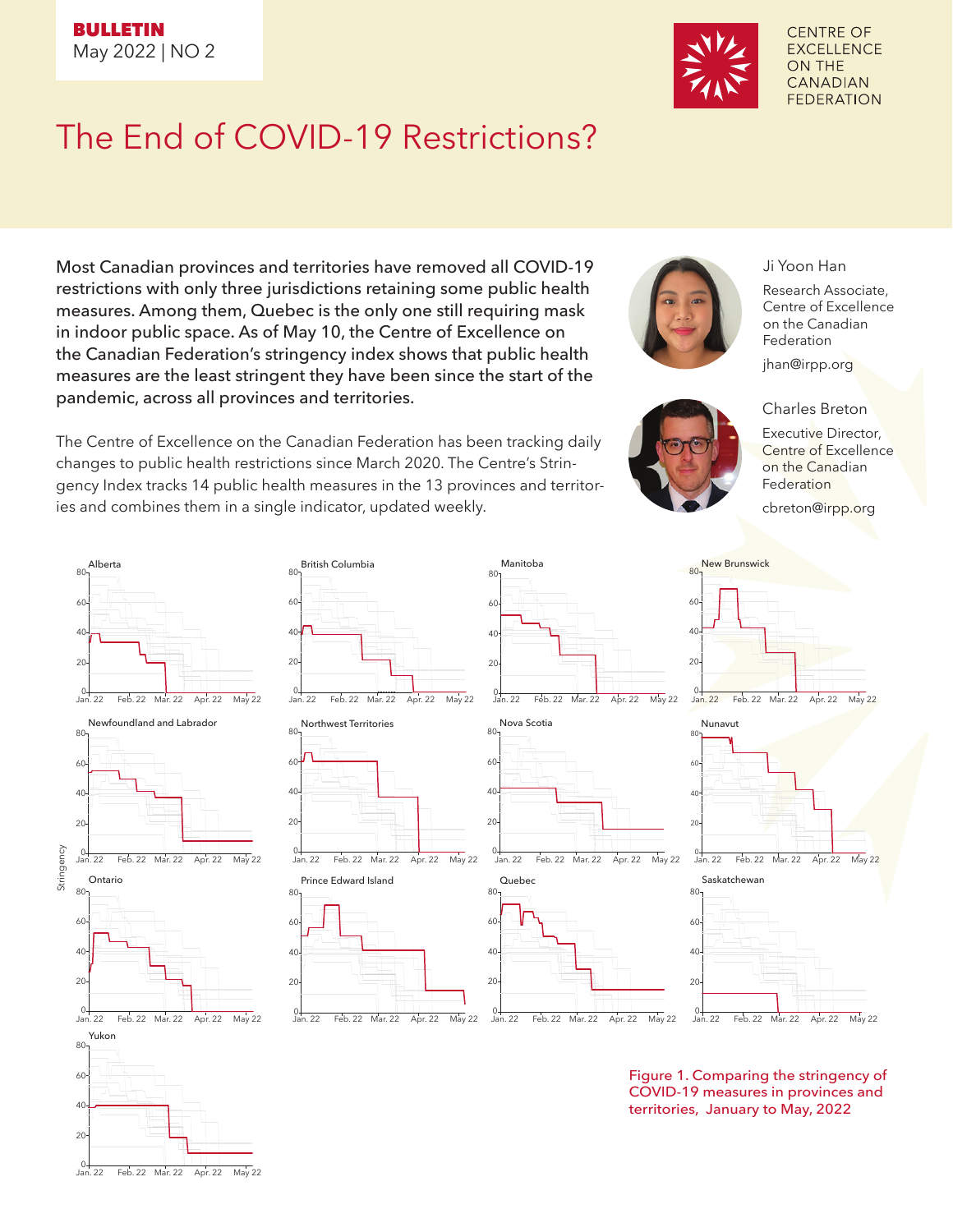

**CENTRE OF EXCELLENCE ON THE CANADIAN FEDERATION** 

## The End of COVID-19 Restrictions?

Most Canadian provinces and territories have removed all COVID-19 restrictions with only three jurisdictions retaining some public health measures. Among them, Quebec is the only one still requiring mask in indoor public space. As of May 10, the Centre of Excellence on the Canadian Federation's stringency index shows that public health measures are the least stringent they have been since the start of the pandemic, across all provinces and territories.

The Centre of Excellence on the Canadian Federation has been tracking daily changes to public health restrictions since March 2020. The Centre's Stringency Index tracks 14 public health measures in the 13 provinces and territories and combines them in a single indicator, updated weekly.



Research Associate, Centre of Excellence on the Canadian Federation

jhan@irpp.org

Ji Yoon Han

Charles Breton

Executive Director, Centre of Excellence on the Canadian **Federation** cbreton@irpp.org





80 Manitoba













New Brunswick



0 Jan. 22 Feb. 22 Mar. 22 Apr. 22 May 22





Figure 1. Comparing the stringency of COVID-19 measures in provinces and territories, January to May, 2022

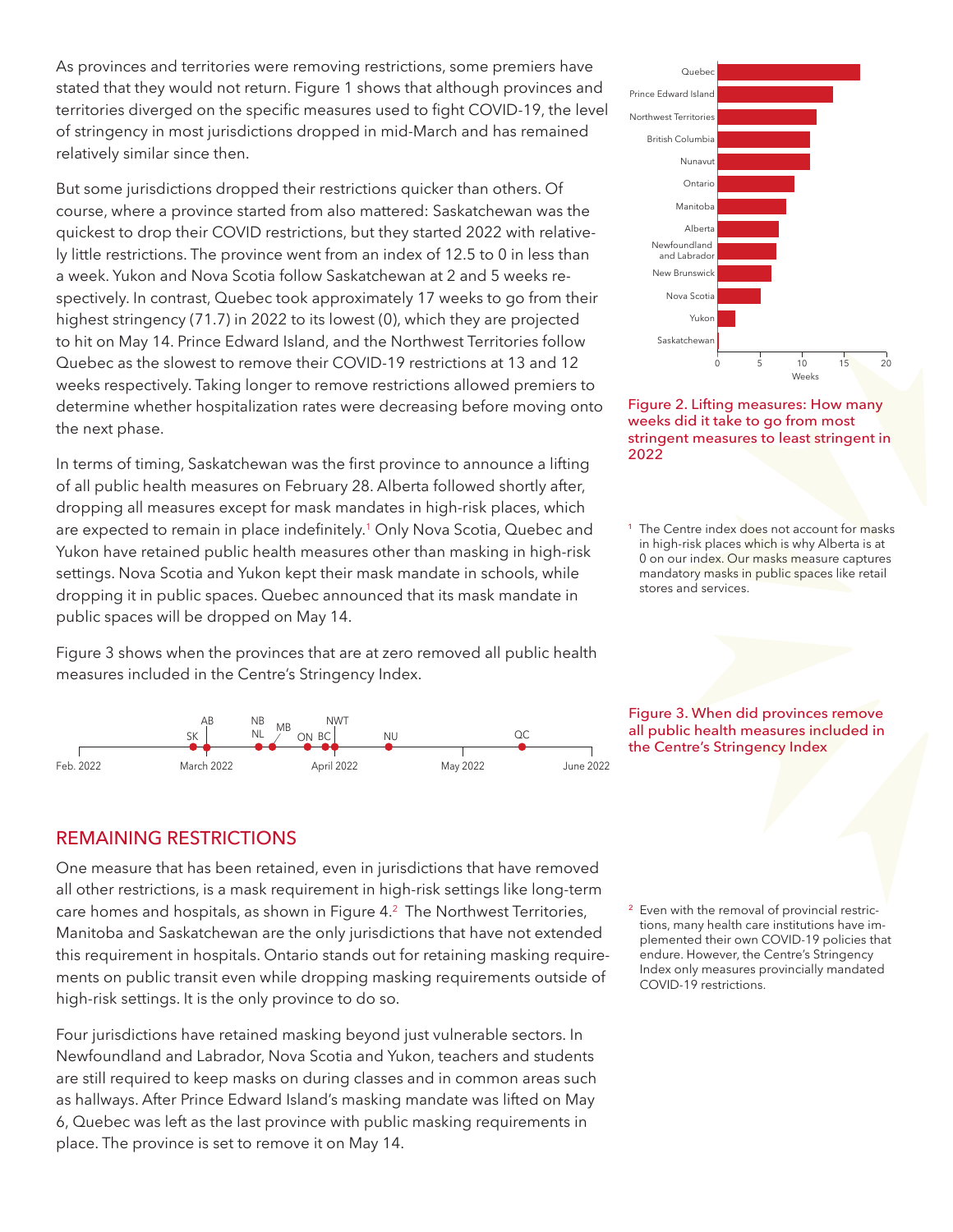As provinces and territories were removing restrictions, some premiers have stated that they would not return. Figure 1 shows that although provinces and territories diverged on the specific measures used to fight COVID-19, the level of stringency in most jurisdictions dropped in mid-March and has remained relatively similar since then.

But some jurisdictions dropped their restrictions quicker than others. Of course, where a province started from also mattered: Saskatchewan was the quickest to drop their COVID restrictions, but they started 2022 with relatively little restrictions. The province went from an index of 12.5 to 0 in less than a week. Yukon and Nova Scotia follow Saskatchewan at 2 and 5 weeks respectively. In contrast, Quebec took approximately 17 weeks to go from their highest stringency (71.7) in 2022 to its lowest (0), which they are projected to hit on May 14. Prince Edward Island, and the Northwest Territories follow Quebec as the slowest to remove their COVID-19 restrictions at 13 and 12 weeks respectively. Taking longer to remove restrictions allowed premiers to determine whether hospitalization rates were decreasing before moving onto the next phase.

In terms of timing, Saskatchewan was the first province to announce a lifting of all public health measures on February 28. Alberta followed shortly after, dropping all measures except for mask mandates in high-risk places, which are expected to remain in place indefinitely.<sup>1</sup> Only Nova Scotia, Quebec and Yukon have retained public health measures other than masking in high-risk settings. Nova Scotia and Yukon kept their mask mandate in schools, while dropping it in public spaces. Quebec announced that its mask mandate in public spaces will be dropped on May 14.

Figure 3 shows when the provinces that are at zero removed all public health measures included in the Centre's Stringency Index.







<sup>1</sup> The Centre index does not account for masks in high-risk places which is why Alberta is at 0 on our index. Our masks measure captures mandatory masks in public spaces like retail stores and services.

Figure 3. When did provinces remove all public health measures included in the Centre's Stringency Index

## REMAINING RESTRICTIONS

One measure that has been retained, even in jurisdictions that have removed all other restrictions, is a mask requirement in high-risk settings like long-term care homes and hospitals, as shown in Figure 4.2 The Northwest Territories, Manitoba and Saskatchewan are the only jurisdictions that have not extended this requirement in hospitals. Ontario stands out for retaining masking requirements on public transit even while dropping masking requirements outside of high-risk settings. It is the only province to do so.

Four jurisdictions have retained masking beyond just vulnerable sectors. In Newfoundland and Labrador, Nova Scotia and Yukon, teachers and students are still required to keep masks on during classes and in common areas such as hallways. After Prince Edward Island's masking mandate was lifted on May 6, Quebec was left as the last province with public masking requirements in place. The province is set to remove it on May 14.

<sup>2</sup> Even with the removal of provincial restrictions, many health care institutions have implemented their own COVID-19 policies that endure. However, the Centre's Stringency Index only measures provincially mandated COVID-19 restrictions.